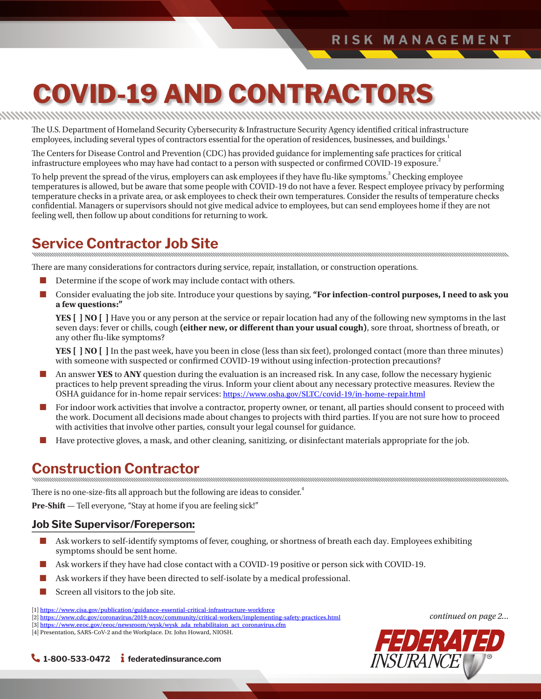# **COVID-19 AND CONTRACTORS**

The U.S. Department of Homeland Security Cybersecurity & Infrastructure Security Agency identified critical infrastructure employees, including several types of contractors essential for the operation of residences, businesses, and buildings.<sup>1</sup>

The Centers for Disease Control and Prevention (CDC) has provided guidance for implementing safe practices for critical infrastructure employees who may have had contact to a person with suspected or confirmed COVID-19 exposure.<sup>2</sup>

To help prevent the spread of the virus, employers can ask employees if they have flu-like symptoms.<sup>3</sup> Checking employee temperatures is allowed, but be aware that some people with COVID-19 do not have a fever. Respect employee privacy by performing temperature checks in a private area, or ask employees to check their own temperatures. Consider the results of temperature checks confidential. Managers or supervisors should not give medical advice to employees, but can send employees home if they are not feeling well, then follow up about conditions for returning to work.

# **Service Contractor Job Site**

There are many considerations for contractors during service, repair, installation, or construction operations.

- Determine if the scope of work may include contact with others.
- Consider evaluating the job site. Introduce your questions by saying, **"For infection-control purposes, I need to ask you a few questions:"**

**YES [ ] NO [ ]** Have you or any person at the service or repair location had any of the following new symptoms in the last seven days: fever or chills, cough **(either new, or different than your usual cough)**, sore throat, shortness of breath, or any other flu-like symptoms?

**YES [ ] NO [ ]** In the past week, have you been in close (less than six feet), prolonged contact (more than three minutes) with someone with suspected or confirmed COVID-19 without using infection-protection precautions?

- An answer YES to ANY question during the evaluation is an increased risk. In any case, follow the necessary hygienic practices to help prevent spreading the virus. Inform your client about any necessary protective measures. Review the OSHA guidance for in-home repair services: <https://www.osha.gov/SLTC/covid-19/in-home-repair.html>
- For indoor work activities that involve a contractor, property owner, or tenant, all parties should consent to proceed with the work. Document all decisions made about changes to projects with third parties. If you are not sure how to proceed with activities that involve other parties, consult your legal counsel for guidance.
- Have protective gloves, a mask, and other cleaning, sanitizing, or disinfectant materials appropriate for the job.

## **Construction Contractor**

There is no one-size-fits all approach but the following are ideas to consider.<sup>4</sup>

**Pre-Shift** — Tell everyone, "Stay at home if you are feeling sick!"

#### **Job Site Supervisor/Foreperson:**

- Ask workers to self-identify symptoms of fever, coughing, or shortness of breath each day. Employees exhibiting symptoms should be sent home.
- Ask workers if they have had close contact with a COVID-19 positive or person sick with COVID-19.
- Ask workers if they have been directed to self-isolate by a medical professional.
- Screen all visitors to the job site.

[1] <u>https://www.cisa.gov/publication/guidance-essential-critical-infrastructure-workforce</u><br>[2] <u>https://www.cdc.gov/coronavirus/2019-ncov/community/critical-workers/implementing-safety-practices.html</u>



#### **1-800-533-0472 federatedinsurance.com**

<sup>[3]</sup> [https://www.eeoc.gov/eeoc/newsroom/wysk/wysk\\_ada\\_rehabilitaion\\_act\\_coronavirus.cfm](https://www.eeoc.gov/eeoc/newsroom/wysk/wysk_ada_rehabilitaion_act_coronavirus.cfm)

<sup>[4]</sup> Presentation, SARS-CoV-2 and the Workplace. Dr. John Howard, NIOSH.